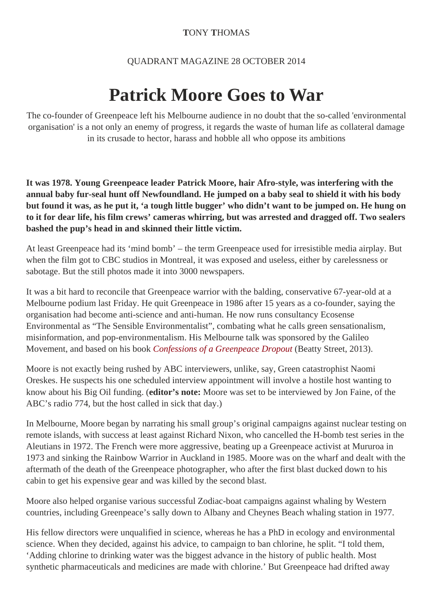## **T**ONY **T**HOMAS

## QUADRANT MAGAZINE 28 OCTOBER 2014

## **Patrick Moore Goes to War**

The co-founder of Greenpeace left his Melbourne audience in no doubt that the so-called 'environmental organisation' is a not only an enemy of progress, it regards the waste of human life as collateral damage in its crusade to hector, harass and hobble all who oppose its ambitions

**It was 1978. Young Greenpeace leader Patrick Moore, hair Afro-style, was interfering with the annual baby fur-seal hunt off Newfoundland. He jumped on a baby seal to shield it with his body but found it was, as he put it, 'a tough little bugger' who didn't want to be jumped on. He hung on to it for dear life, his film crews' cameras whirring, but was arrested and dragged off. Two sealers bashed the pup's head in and skinned their little victim.**

At least Greenpeace had its 'mind bomb' – the term Greenpeace used for irresistible media airplay. But when the film got to CBC studios in Montreal, it was exposed and useless, either by carelessness or sabotage. But the still photos made it into 3000 newspapers.

It was a bit hard to reconcile that Greenpeace warrior with the balding, conservative 67-year-old at a Melbourne podium last Friday. He quit Greenpeace in 1986 after 15 years as a co-founder, saying the organisation had become anti-science and anti-human. He now runs consultancy Ecosense Environmental as "The Sensible Environmentalist", combating what he calls green sensationalism, misinformation, and pop-environmentalism. His Melbourne talk was sponsored by the Galileo Movement, and based on his book *[Confessions of a Greenpeace Dropout](http://www.amazon.com/Confessions-Greenpeace-Dropout-Sensible-Environmentalist/dp/0986480827)* (Beatty Street, 2013).

Moore is not exactly being rushed by ABC interviewers, unlike, say, Green catastrophist Naomi Oreskes. He suspects his one scheduled interview appointment will involve a hostile host wanting to know about his Big Oil funding. (**editor's note:** Moore was set to be interviewed by Jon Faine, of the ABC's radio 774, but the host called in sick that day.)

In Melbourne, Moore began by narrating his small group's original campaigns against nuclear testing on remote islands, with success at least against Richard Nixon, who cancelled the H-bomb test series in the Aleutians in 1972. The French were more aggressive, beating up a Greenpeace activist at Mururoa in 1973 and sinking the Rainbow Warrior in Auckland in 1985. Moore was on the wharf and dealt with the aftermath of the death of the Greenpeace photographer, who after the first blast ducked down to his cabin to get his expensive gear and was killed by the second blast.

Moore also helped organise various successful Zodiac-boat campaigns against whaling by Western countries, including Greenpeace's sally down to Albany and Cheynes Beach whaling station in 1977.

His fellow directors were unqualified in science, whereas he has a PhD in ecology and environmental science. When they decided, against his advice, to campaign to ban chlorine, he split. "I told them, 'Adding chlorine to drinking water was the biggest advance in the history of public health. Most synthetic pharmaceuticals and medicines are made with chlorine.' But Greenpeace had drifted away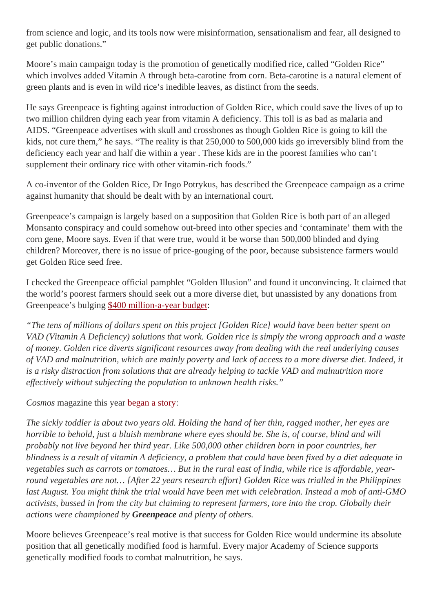from science and logic, and its tools now were misinformation, sensationalism and fear, all designed to get public donations."

Moore's main campaign today is the promotion of genetically modified rice, called "Golden Rice" which involves added Vitamin A through beta-carotine from corn. Beta-carotine is a natural element of green plants and is even in wild rice's inedible leaves, as distinct from the seeds.

He says Greenpeace is fighting against introduction of Golden Rice, which could save the lives of up to two million children dying each year from vitamin A deficiency. This toll is as bad as malaria and AIDS. "Greenpeace advertises with skull and crossbones as though Golden Rice is going to kill the kids, not cure them," he says. "The reality is that 250,000 to 500,000 kids go irreversibly blind from the deficiency each year and half die within a year . These kids are in the poorest families who can't supplement their ordinary rice with other vitamin-rich foods."

A co-inventor of the Golden Rice, Dr Ingo Potrykus, has described the Greenpeace campaign as a crime against humanity that should be dealt with by an international court.

Greenpeace's campaign is largely based on a supposition that Golden Rice is both part of an alleged Monsanto conspiracy and could somehow out-breed into other species and 'contaminate' them with the corn gene, Moore says. Even if that were true, would it be worse than 500,000 blinded and dying children? Moreover, there is no issue of price-gouging of the poor, because subsistence farmers would get Golden Rice seed free.

I checked the Greenpeace official pamphlet "Golden Illusion" and found it unconvincing. It claimed that the world's poorest farmers should seek out a more diverse diet, but unassisted by any donations from Greenpeace's bulging [\\$400 million-a-year budget](https://quadrant.org.au/opinion/doomed-planet/2014/08/big-green-hypocrites/):

*"The tens of millions of dollars spent on this project [Golden Rice] would have been better spent on VAD (Vitamin A Deficiency) solutions that work. Golden rice is simply the wrong approach and a waste of money. Golden rice diverts significant resources away from dealing with the real underlying causes of VAD and malnutrition, which are mainly poverty and lack of access to a more diverse diet. Indeed, it is a risky distraction from solutions that are already helping to tackle VAD and malnutrition more effectively without subjecting the population to unknown health risks."*

*Cosmos* magazine this year [began a story](http://irri.org/blogs/golden-rice-blog/a-senseless-fight):

*The sickly toddler is about two years old. Holding the hand of her thin, ragged mother, her eyes are horrible to behold, just a bluish membrane where eyes should be. She is, of course, blind and will probably not live beyond her third year. Like 500,000 other children born in poor countries, her blindness is a result of vitamin A deficiency, a problem that could have been fixed by a diet adequate in vegetables such as carrots or tomatoes… But in the rural east of India, while rice is affordable, yearround vegetables are not… [After 22 years research effort] Golden Rice was trialled in the Philippines last August. You might think the trial would have been met with celebration. Instead a mob of anti-GMO activists, bussed in from the city but claiming to represent farmers, tore into the crop. Globally their actions were championed by Greenpeace and plenty of others.*

Moore believes Greenpeace's real motive is that success for Golden Rice would undermine its absolute position that all genetically modified food is harmful. Every major Academy of Science supports genetically modified foods to combat malnutrition, he says.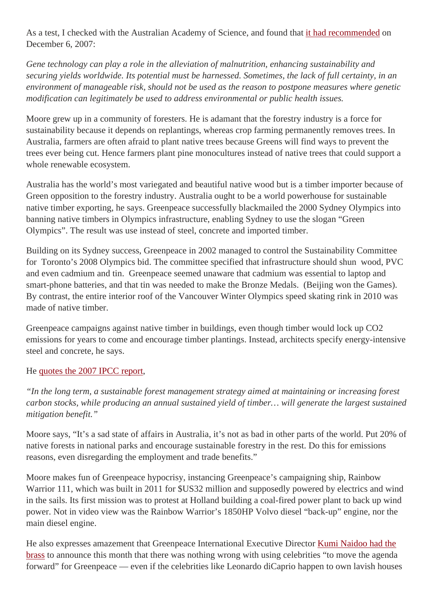As a test, I checked with the Australian Academy of Science, and found that [it had recommended](https://www.science.org.au/statement-gene-technology-and-gm-plants) on December 6, 2007:

*Gene technology can play a role in the alleviation of malnutrition, enhancing sustainability and securing yields worldwide. Its potential must be harnessed. Sometimes, the lack of full certainty, in an environment of manageable risk, should not be used as the reason to postpone measures where genetic modification can legitimately be used to address environmental or public health issues.*

Moore grew up in a community of foresters. He is adamant that the forestry industry is a force for sustainability because it depends on replantings, whereas crop farming permanently removes trees. In Australia, farmers are often afraid to plant native trees because Greens will find ways to prevent the trees ever being cut. Hence farmers plant pine monocultures instead of native trees that could support a whole renewable ecosystem.

Australia has the world's most variegated and beautiful native wood but is a timber importer because of Green opposition to the forestry industry. Australia ought to be a world powerhouse for sustainable native timber exporting, he says. Greenpeace successfully blackmailed the 2000 Sydney Olympics into banning native timbers in Olympics infrastructure, enabling Sydney to use the slogan "Green Olympics". The result was use instead of steel, concrete and imported timber.

Building on its Sydney success, Greenpeace in 2002 managed to control the Sustainability Committee for Toronto's 2008 Olympics bid. The committee specified that infrastructure should shun wood, PVC and even cadmium and tin. Greenpeace seemed unaware that cadmium was essential to laptop and smart-phone batteries, and that tin was needed to make the Bronze Medals. (Beijing won the Games). By contrast, the entire interior roof of the Vancouver Winter Olympics speed skating rink in 2010 was made of native timber.

Greenpeace campaigns against native timber in buildings, even though timber would lock up CO2 emissions for years to come and encourage timber plantings. Instead, architects specify energy-intensive steel and concrete, he says.

## He [quotes the 2007 IPCC report,](http://www.ipcc.ch/publications_and_data/ar4/wg3/en/ch9s9-es.html)

*"In the long term, a sustainable forest management strategy aimed at maintaining or increasing forest carbon stocks, while producing an annual sustained yield of timber… will generate the largest sustained mitigation benefit."*

Moore says, "It's a sad state of affairs in Australia, it's not as bad in other parts of the world. Put 20% of native forests in national parks and encourage sustainable forestry in the rest. Do this for emissions reasons, even disregarding the employment and trade benefits."

Moore makes fun of Greenpeace hypocrisy, instancing Greenpeace's campaigning ship, Rainbow Warrior 111, which was built in 2011 for \$US32 million and supposedly powered by electrics and wind in the sails. Its first mission was to protest at Holland building a coal-fired power plant to back up wind power. Not in video view was the Rainbow Warrior's 1850HP Volvo diesel "back-up" engine, nor the main diesel engine.

He also expresses amazement that Greenpeace International Executive Director [Kumi Naidoo had the](http://www.thirdsector.co.uk/use-celebrities-even-lifestyles-dont-fit-says-greenpeaces-kumi-naidoo/communications/article/1317822)  [brass](http://www.thirdsector.co.uk/use-celebrities-even-lifestyles-dont-fit-says-greenpeaces-kumi-naidoo/communications/article/1317822) to announce this month that there was nothing wrong with using celebrities "to move the agenda forward" for Greenpeace — even if the celebrities like Leonardo diCaprio happen to own lavish houses